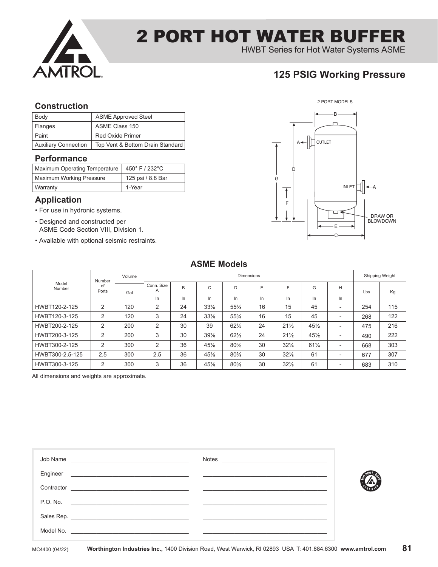

HWBT Series for Hot Water Systems ASME

## **125 PSIG Working Pressure**

### **Construction**

| Body                        | <b>ASME Approved Steel</b>       |
|-----------------------------|----------------------------------|
| Flanges                     | ASME Class 150                   |
| Paint                       | <b>Red Oxide Primer</b>          |
| <b>Auxiliary Connection</b> | Top Vent & Bottom Drain Standard |

### **Performance**

| Maximum Operating Temperature   450° F / 232°C |                   |
|------------------------------------------------|-------------------|
| <b>Maximum Working Pressure</b>                | 125 psi / 8.8 Bar |
| Warranty                                       | 1-Year            |

### **Application**

- For use in hydronic systems.
- Designed and constructed per ASME Code Section VIII, Division 1.
- Available with optional seismic restraints.



### **ASME Models**

|                 | Number      | Volume |                 | <b>Dimensions</b> |                 |                 |    |                 |                 |                          |     |     |
|-----------------|-------------|--------|-----------------|-------------------|-----------------|-----------------|----|-----------------|-----------------|--------------------------|-----|-----|
| Model<br>Number | οf<br>Ports | Gal    | Conn. Size<br>Α | B                 | C               | D               | E  | E               | G               | H                        | Lbs | Kg  |
|                 |             |        | In              | In                | In              | In              | In | In.             | In              | In.                      |     |     |
| HWBT120-2-125   | 2           | 120    | 2               | 24                | $33\frac{1}{8}$ | $55\frac{3}{4}$ | 16 | 15              | 45              | $\overline{\phantom{a}}$ | 254 | 115 |
| HWBT120-3-125   | 2           | 120    | 3               | 24                | $33\frac{1}{8}$ | $55\frac{3}{4}$ | 16 | 15              | 45              | $\overline{\phantom{a}}$ | 268 | 122 |
| HWBT200-2-125   | 2           | 200    | $\overline{2}$  | 30                | 39              | $62\frac{1}{2}$ | 24 | $21\frac{1}{2}$ | 45%             | $\overline{\phantom{a}}$ | 475 | 216 |
| HWBT200-3-125   | 2           | 200    | 3               | 30                | $39\frac{1}{8}$ | $62\frac{1}{2}$ | 24 | $21\frac{1}{2}$ | 45%             | $\overline{\phantom{a}}$ | 490 | 222 |
| HWBT300-2-125   | 2           | 300    | 2               | 36                | 45%             | 80%             | 30 | $32\frac{1}{4}$ | $61\frac{1}{4}$ | $\overline{\phantom{a}}$ | 668 | 303 |
| HWBT300-2.5-125 | 2.5         | 300    | 2.5             | 36                | $45\%$          | 80%             | 30 | $32\frac{1}{8}$ | 61              | $\overline{\phantom{a}}$ | 677 | 307 |
| HWBT300-3-125   | 2           | 300    | 3               | 36                | 45%             | 80%             | 30 | $32\frac{1}{8}$ | 61              | $\overline{\phantom{a}}$ | 683 | 310 |

All dimensions and weights are approximate.

| Job Name<br><u> 2000 - Carl Maria Alemania, prima de la propincia de la propincia de la propincia de la propincia de la propincia de la propincia de la propincia de la propincia de la propincia de la propincia de la propincia de la prop</u>  |  |
|---------------------------------------------------------------------------------------------------------------------------------------------------------------------------------------------------------------------------------------------------|--|
| Engineer<br><u> 1980 - Johann Barn, margaret amerikan basar (</u>                                                                                                                                                                                 |  |
| Contractor                                                                                                                                                                                                                                        |  |
| P.O. No.<br><u> 1989 - Jan Barbarat, martin da basar a shekara 1989 - 1989 - 1989 - 1989 - 1989 - 1989 - 1989 - 1989 - 1989 - </u>                                                                                                                |  |
|                                                                                                                                                                                                                                                   |  |
| Model No.<br><u> 1980 - Johann Johann Storm, meil in der Storm in der Storm in der Storm in der Storm in der Storm in der Storm in der Storm in der Storm in der Storm in der Storm in der Storm in der Storm in der Storm in der Storm in de</u> |  |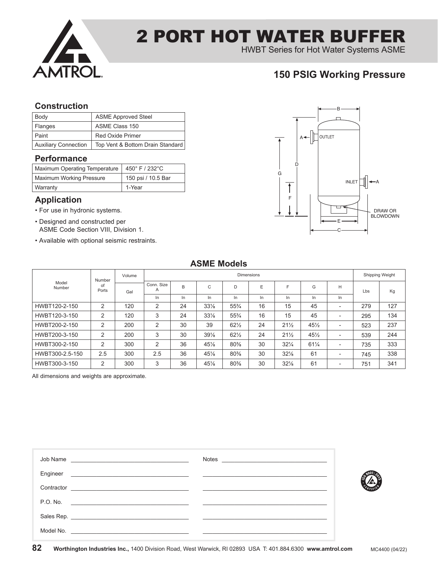

HWBT Series for Hot Water Systems ASME

## **150 PSIG Working Pressure**

### **Construction**

| Body                        | <b>ASME Approved Steel</b>       |
|-----------------------------|----------------------------------|
| Flanges                     | ASME Class 150                   |
| Paint                       | <b>Red Oxide Primer</b>          |
| <b>Auxiliary Connection</b> | Top Vent & Bottom Drain Standard |

### **Performance**

| Maximum Operating Temperature   450° F / 232°C |                    |
|------------------------------------------------|--------------------|
| <b>Maximum Working Pressure</b>                | 150 psi / 10.5 Bar |
| Warranty                                       | 1-Year             |

### **Application**

- For use in hydronic systems.
- Designed and constructed per ASME Code Section VIII, Division 1.
- Available with optional seismic restraints.



### **ASME Models**

|                 | Number      | Volume |                | <b>Dimensions</b> |                 |                 |    |                 |                 |                          |     |     |    |
|-----------------|-------------|--------|----------------|-------------------|-----------------|-----------------|----|-----------------|-----------------|--------------------------|-----|-----|----|
| Model<br>Number | of<br>Ports |        | Gal            | Conn. Size<br>A   | B               | C               | D  | E               | F               | G                        | H   | Lbs | Kg |
|                 |             |        | In.            | In                | In              | In              | In | In.             | In              | In                       |     |     |    |
| HWBT120-2-150   | 2           | 120    | 2              | 24                | $33\frac{1}{8}$ | $55\frac{3}{4}$ | 16 | 15              | 45              | $\overline{\phantom{0}}$ | 279 | 127 |    |
| HWBT120-3-150   | 2           | 120    | 3              | 24                | $33\frac{1}{8}$ | $55\frac{3}{4}$ | 16 | 15              | 45              | $\overline{\phantom{0}}$ | 295 | 134 |    |
| HWBT200-2-150   | 2           | 200    | 2              | 30                | 39              | $62\frac{1}{2}$ | 24 | $21\frac{1}{2}$ | $45\frac{1}{2}$ | $\overline{\phantom{0}}$ | 523 | 237 |    |
| HWBT200-3-150   | 2           | 200    | 3              | 30                | $39\%$          | $62\frac{1}{2}$ | 24 | $21\frac{1}{2}$ | $45\frac{1}{2}$ | $\overline{\phantom{0}}$ | 539 | 244 |    |
| HWBT300-2-150   | 2           | 300    | $\overline{2}$ | 36                | 45%             | 80%             | 30 | $32\frac{1}{4}$ | $61\frac{1}{4}$ | $\overline{\phantom{0}}$ | 735 | 333 |    |
| HWBT300-2.5-150 | 2.5         | 300    | 2.5            | 36                | 45%             | 80%             | 30 | $32\frac{1}{8}$ | 61              | $\overline{\phantom{0}}$ | 745 | 338 |    |
| HWBT300-3-150   | 2           | 300    | 3              | 36                | 45%             | 80%             | 30 | $32\frac{1}{8}$ | 61              | $\overline{\phantom{0}}$ | 751 | 341 |    |

All dimensions and weights are approximate.

| Engineer                                                                                                                         |  |
|----------------------------------------------------------------------------------------------------------------------------------|--|
| Contractor                                                                                                                       |  |
| P.O. No.<br><u> 1980 - Jan Barbarat, martin da basar da basar da basar da basar da basar da basar da basar da basar da basar</u> |  |
|                                                                                                                                  |  |
| Model No.                                                                                                                        |  |

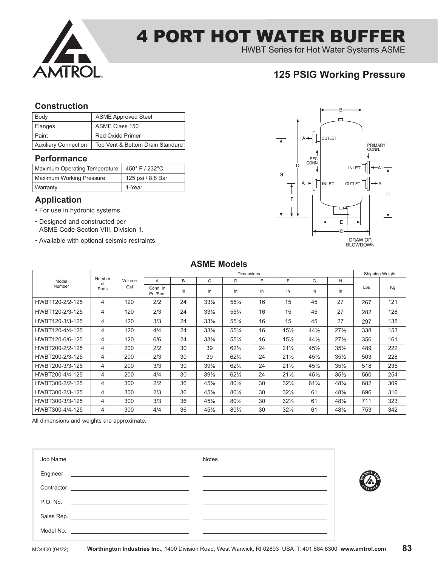

HWBT Series for Hot Water Systems ASME

## **125 PSIG Working Pressure**

### **Construction**

| Body                        | <b>ASME Approved Steel</b>       |
|-----------------------------|----------------------------------|
| <b>Flanges</b>              | ASME Class 150                   |
| Paint                       | <b>Red Oxide Primer</b>          |
| <b>Auxiliary Connection</b> | Top Vent & Bottom Drain Standard |

### **Performance**

| Maximum Operating Temperature   450° F / 232°C |                   |
|------------------------------------------------|-------------------|
| <b>Maximum Working Pressure</b>                | 125 psi / 8.8 Bar |
| Warranty                                       | 1-Year            |

### **Application**

- For use in hydronic systems.
- Designed and constructed per ASME Code Section VIII, Division 1.
- Available with optional seismic restraints.



|                 |              |        |                       |    |                 |                 | <b>Dimensions</b> |                 |                 |                 |                 | Shipping Weight |
|-----------------|--------------|--------|-----------------------|----|-----------------|-----------------|-------------------|-----------------|-----------------|-----------------|-----------------|-----------------|
| Model           | Number<br>of | Volume | А                     | B  | C               | D               | E                 | F               | G               | Н               |                 |                 |
| Number          | Ports        | Gal    | Conn. In<br>Pri./Sec. | In | In.             | In              | In.               | In.             | In              | In              | L <sub>bs</sub> | Kg              |
| HWBT120-2/2-125 | 4            | 120    | 2/2                   | 24 | $33\frac{1}{8}$ | $55\frac{3}{4}$ | 16                | 15              | 45              | 27              | 267             | 121             |
| HWBT120-2/3-125 | 4            | 120    | 2/3                   | 24 | $33\frac{1}{8}$ | $55\frac{3}{4}$ | 16                | 15              | 45              | 27              | 282             | 128             |
| HWBT120-3/3-125 | 4            | 120    | 3/3                   | 24 | $33\frac{1}{8}$ | $55\frac{3}{4}$ | 16                | 15              | 45              | 27              | 297             | 135             |
| HWBT120-4/4-125 | 4            | 120    | 4/4                   | 24 | $33\frac{1}{8}$ | $55\frac{3}{4}$ | 16                | $15\frac{1}{2}$ | $44\frac{1}{2}$ | $27\frac{1}{2}$ | 338             | 153             |
| HWBT120-6/6-125 | 4            | 120    | 6/6                   | 24 | $33\frac{1}{8}$ | $55\frac{3}{4}$ | 16                | $15\frac{1}{2}$ | $44\frac{1}{2}$ | $27\frac{1}{2}$ | 356             | 161             |
| HWBT200-2/2-125 | 4            | 200    | 2/2                   | 30 | 39              | $62\frac{1}{2}$ | 24                | $21\frac{1}{2}$ | $45\frac{1}{2}$ | $35\frac{1}{2}$ | 489             | 222             |
| HWBT200-2/3-125 | 4            | 200    | 2/3                   | 30 | 39              | $62\frac{1}{2}$ | 24                | $21\frac{1}{2}$ | $45\frac{1}{2}$ | $35\frac{1}{2}$ | 503             | 228             |
| HWBT200-3/3-125 | 4            | 200    | 3/3                   | 30 | 39%             | $62\frac{1}{2}$ | 24                | $21\frac{1}{2}$ | $45\frac{1}{2}$ | $35\frac{1}{2}$ | 518             | 235             |
| HWBT200-4/4-125 | 4            | 200    | 4/4                   | 30 | 39%             | $62\frac{1}{2}$ | 24                | $21\frac{1}{2}$ | $45\frac{1}{2}$ | $35\frac{1}{2}$ | 560             | 254             |
| HWBT300-2/2-125 | 4            | 300    | 2/2                   | 36 | 45%             | 80%             | 30                | $32\frac{1}{4}$ | $61\frac{1}{4}$ | 481/4           | 682             | 309             |
| HWBT300-2/3-125 | 4            | 300    | 2/3                   | 36 | 45%             | 80%             | 30                | $32\frac{1}{8}$ | 61              | 48%             | 696             | 316             |
| HWBT300-3/3-125 | 4            | 300    | 3/3                   | 36 | 45%             | $80\%$          | 30                | $32\frac{1}{8}$ | 61              | $48\%$          | 711             | 323             |
| HWBT300-4/4-125 | 4            | 300    | 4/4                   | 36 | 45%             | 80%             | 30                | $32\frac{1}{8}$ | 61              | 48%             | 753             | 342             |

All dimensions and weights are approximate.

| Job Name<br><u> 1989 - Jan Barbara, manazarta bashkar ta shekara ta 1989 - Andrea San A</u> | <b>Notes</b> |
|---------------------------------------------------------------------------------------------|--------------|
| Engineer                                                                                    |              |
| Contractor                                                                                  |              |
| P.O. No.<br><u> 1980 - Jan Barbara Barbara, manazarta da kasas da shekara 1980 - A</u>      |              |
|                                                                                             |              |
| Model No.<br><u> 1980 - John Stone, Amerikaansk politiker (</u> † 1910)                     |              |

**ASME Models**